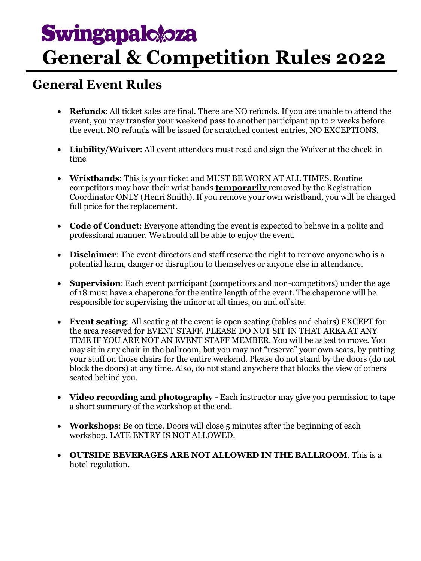# **Swingapalo oza General & Competition Rules 2022**

## **General Event Rules**

- **Refunds**: All ticket sales are final. There are NO refunds. If you are unable to attend the event, you may transfer your weekend pass to another participant up to 2 weeks before the event. NO refunds will be issued for scratched contest entries, NO EXCEPTIONS.
- **Liability/Waiver**: All event attendees must read and sign the Waiver at the check-in time
- **Wristbands**: This is your ticket and MUST BE WORN AT ALL TIMES. Routine competitors may have their wrist bands **temporarily** removed by the Registration Coordinator ONLY (Henri Smith). If you remove your own wristband, you will be charged full price for the replacement.
- **Code of Conduct**: Everyone attending the event is expected to behave in a polite and professional manner. We should all be able to enjoy the event.
- **Disclaimer**: The event directors and staff reserve the right to remove anyone who is a potential harm, danger or disruption to themselves or anyone else in attendance.
- **Supervision**: Each event participant (competitors and non-competitors) under the age of 18 must have a chaperone for the entire length of the event. The chaperone will be responsible for supervising the minor at all times, on and off site.
- **Event seating**: All seating at the event is open seating (tables and chairs) EXCEPT for the area reserved for EVENT STAFF. PLEASE DO NOT SIT IN THAT AREA AT ANY TIME IF YOU ARE NOT AN EVENT STAFF MEMBER. You will be asked to move. You may sit in any chair in the ballroom, but you may not "reserve" your own seats, by putting your stuff on those chairs for the entire weekend. Please do not stand by the doors (do not block the doors) at any time. Also, do not stand anywhere that blocks the view of others seated behind you.
- **Video recording and photography** Each instructor may give you permission to tape a short summary of the workshop at the end.
- **Workshops**: Be on time. Doors will close 5 minutes after the beginning of each workshop. LATE ENTRY IS NOT ALLOWED.
- **OUTSIDE BEVERAGES ARE NOT ALLOWED IN THE BALLROOM**. This is a hotel regulation.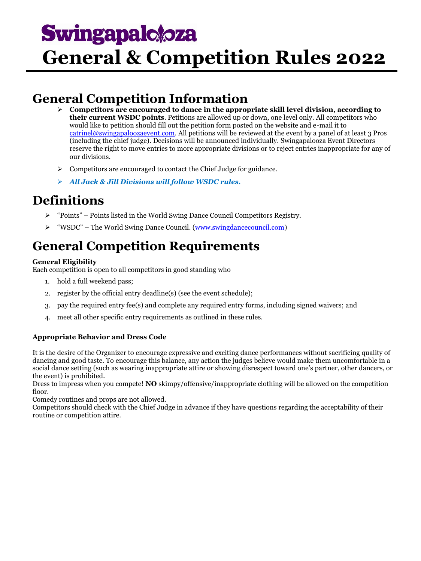# **Swingapalotoza General & Competition Rules 2022**

## **General Competition Information**

- **Competitors are encouraged to dance in the appropriate skill level division, according to their current WSDC points**. Petitions are allowed up or down, one level only. All competitors who would like to petition should fill out the petition form posted on the website and e-mail it to [catrinel@swingapaloozaevent.com.](mailto:catrinel@swingapaloozaevent.com) All petitions will be reviewed at the event by a panel of at least 3 Pros (including the chief judge). Decisions will be announced individually. Swingapalooza Event Directors reserve the right to move entries to more appropriate divisions or to reject entries inappropriate for any of our divisions.
- $\triangleright$  Competitors are encouraged to contact the Chief Judge for guidance.
- *All Jack & Jill Divisions will follow WSDC rules.*

### **Definitions**

- "Points" Points listed in the World Swing Dance Council Competitors Registry.
- "WSDC" The World Swing Dance Council. [\(www.swingdancecouncil.com\)](file:///C:/Documents%20and%20Settings/JREID/Local%20Settings/Temporary%20Internet%20Files/Content.IE5/JOX1CXND/www.swingdancecouncil.com)

## **General Competition Requirements**

#### **General Eligibility**

Each competition is open to all competitors in good standing who

- 1. hold a full weekend pass;
- 2. register by the official entry deadline(s) (see the event schedule);
- 3. pay the required entry fee(s) and complete any required entry forms, including signed waivers; and
- 4. meet all other specific entry requirements as outlined in these rules.

#### **Appropriate Behavior and Dress Code**

It is the desire of the Organizer to encourage expressive and exciting dance performances without sacrificing quality of dancing and good taste. To encourage this balance, any action the judges believe would make them uncomfortable in a social dance setting (such as wearing inappropriate attire or showing disrespect toward one's partner, other dancers, or the event) is prohibited.

Dress to impress when you compete! **NO** skimpy/offensive/inappropriate clothing will be allowed on the competition floor.

Comedy routines and props are not allowed.

Competitors should check with the Chief Judge in advance if they have questions regarding the acceptability of their routine or competition attire.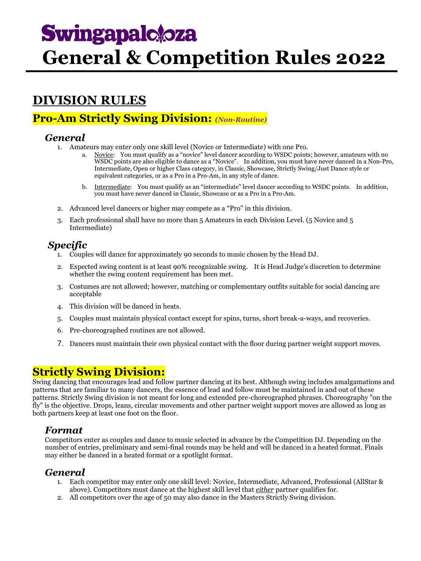## **Swingapalotoza General & Competition Rules 2022**

## **DIVISION RULES**

### **Pro-Am Strictly Swing Division:** *(Non-Routine)*

#### *General*

- 1. Amateurs may enter only one skill level (Novice or Intermediate) with one Pro.
	- Novice: You must qualify as a "novice" level dancer according to WSDC points; however, amateurs with no WSDC points are also eligible to dance as a "Novice". In addition, you must have never danced in a Non-Pro, Intermediate, Open or higher Class category, in Classic, Showcase, Strictly Swing/Just Dance style or equivalent categories, or as a Pro in a Pro-Am, in any style of dance.
	- b. Intermediate: You must qualify as an "intermediate" level dancer according to WSDC points. In addition, you must have never danced in Classic, Showcase or as a Pro in a Pro-Am.
- 2. Advanced level dancers or higher may compete as a "Pro" in this division.
- 3. Each professional shall have no more than 5 Amateurs in each Division Level. (5 Novice and 5 Intermediate)

### *Specific*

- 1. Couples will dance for approximately 90 seconds to music chosen by the Head DJ.
- 2. Expected swing content is at least 90% recognizable swing. It is Head Judge's discretion to determine whether the swing content requirement has been met.
- 3. Costumes are not allowed; however, matching or complementary outfits suitable for social dancing are acceptable
- 4. This division will be danced in heats.
- 5. Couples must maintain physical contact except for spins, turns, short break-a-ways, and recoveries.
- 6. Pre-choreographed routines are not allowed.
- 7. Dancers must maintain their own physical contact with the floor during partner weight support moves.

### **Strictly Swing Division:**

Swing dancing that encourages lead and follow partner dancing at its best. Although swing includes amalgamations and patterns that are familiar to many dancers, the essence of lead and follow must be maintained in and out of these patterns. Strictly Swing division is not meant for long and extended pre-choreographed phrases. Choreography "on the fly" is the objective. Drops, leans, circular movements and other partner weight support moves are allowed as long as both partners keep at least one foot on the floor.

#### *Format*

Competitors enter as couples and dance to music selected in advance by the Competition DJ. Depending on the number of entries, preliminary and semi-final rounds may be held and will be danced in a heated format. Finals may either be danced in a heated format or a spotlight format.

#### *General*

- 1. Each competitor may enter only one skill level: Novice, Intermediate, Advanced, Professional (AllStar & above). Competitors must dance at the highest skill level that *either* partner qualifies for.
- 2. All competitors over the age of 50 may also dance in the Masters Strictly Swing division.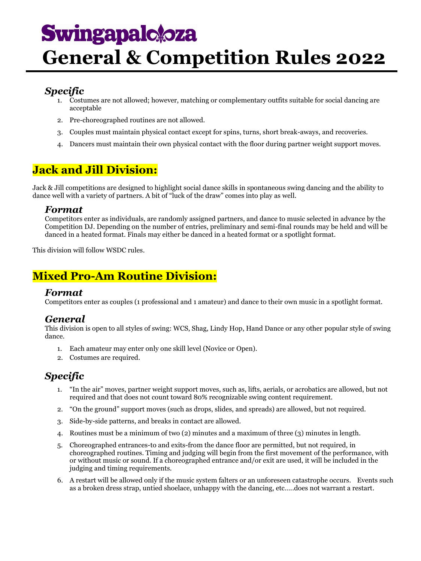## **Swingapalotoza**

## **General & Competition Rules 2022**

#### *Specific*

- 1. Costumes are not allowed; however, matching or complementary outfits suitable for social dancing are acceptable
- 2. Pre-choreographed routines are not allowed.
- 3. Couples must maintain physical contact except for spins, turns, short break-aways, and recoveries.
- 4. Dancers must maintain their own physical contact with the floor during partner weight support moves.

### **Jack and Jill Division:**

Jack & Jill competitions are designed to highlight social dance skills in spontaneous swing dancing and the ability to dance well with a variety of partners. A bit of "luck of the draw" comes into play as well.

#### *Format*

Competitors enter as individuals, are randomly assigned partners, and dance to music selected in advance by the Competition DJ. Depending on the number of entries, preliminary and semi-final rounds may be held and will be danced in a heated format. Finals may either be danced in a heated format or a spotlight format.

This division will follow WSDC rules.

### **Mixed Pro-Am Routine Division:**

#### *Format*

Competitors enter as couples (1 professional and 1 amateur) and dance to their own music in a spotlight format.

#### *General*

This division is open to all styles of swing: WCS, Shag, Lindy Hop, Hand Dance or any other popular style of swing dance.

- 1. Each amateur may enter only one skill level (Novice or Open).
- 2. Costumes are required.

### *Specific*

- 1. "In the air" moves, partner weight support moves, such as, lifts, aerials, or acrobatics are allowed, but not required and that does not count toward 80% recognizable swing content requirement.
- 2. "On the ground" support moves (such as drops, slides, and spreads) are allowed, but not required.
- 3. Side-by-side patterns, and breaks in contact are allowed.
- 4. Routines must be a minimum of two (2) minutes and a maximum of three (3) minutes in length.
- 5. Choreographed entrances-to and exits-from the dance floor are permitted, but not required, in choreographed routines. Timing and judging will begin from the first movement of the performance, with or without music or sound. If a choreographed entrance and/or exit are used, it will be included in the judging and timing requirements.
- 6. A restart will be allowed only if the music system falters or an unforeseen catastrophe occurs. Events such as a broken dress strap, untied shoelace, unhappy with the dancing, etc…..does not warrant a restart.